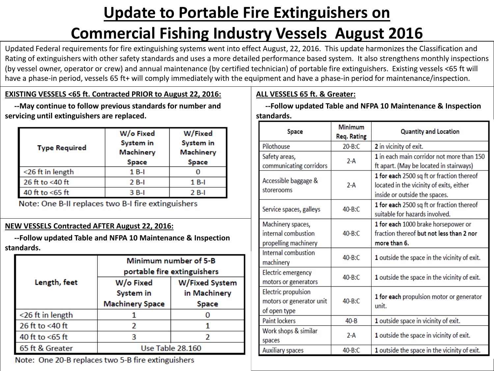# **Update to Portable Fire Extinguishers on**

# **Commercial Fishing Industry Vessels August 2016**

Updated Federal requirements for fire extinguishing systems went into effect August, 22, 2016. This update harmonizes the Classification and Rating of extinguishers with other safety standards and uses a more detailed performance based system. It also strengthens monthly inspections (by vessel owner, operator or crew) and annual maintenance (by certified technician) of portable fire extinguishers. Existing vessels <65 ft will have a phase-in period, vessels 65 ft+ will comply immediately with the equipment and have a phase-in period for maintenance/inspection.

## **EXISTING VESSELS <65 ft. Contracted PRIOR to August 22, 2016:**

 **--May continue to follow previous standards for number and servicing until extinguishers are replaced.**

| <b>Type Required</b> | W/o Fixed<br>System in<br><b>Machinery</b><br>Space | W/Fixed<br><b>System in</b><br><b>Machinery</b><br>Space |
|----------------------|-----------------------------------------------------|----------------------------------------------------------|
| <26 ft in length     | 1 B-I                                               |                                                          |
| 26 ft to <40 ft      | $2B-I$                                              | 1 B-I                                                    |
| 40 ft to $<65$ ft    | 3 B-I                                               | 2 B-I                                                    |

Note: One B-II replaces two B-I fire extinguishers

# **NEW VESSELS Contracted AFTER August 22, 2016:**

 **--Follow updated Table and NFPA 10 Maintenance & Inspection standards.**

|                     | Minimum number of 5-B<br>portable fire extinguishers |                |
|---------------------|------------------------------------------------------|----------------|
| Length, feet        | W/o Fixed                                            | W/Fixed System |
|                     | System in                                            | in Machinery   |
|                     | <b>Machinery Space</b>                               | Space          |
| $<$ 26 ft in length |                                                      |                |
| 26 ft to <40 ft     |                                                      |                |
| 40 ft to $<$ 65 ft  |                                                      |                |
| 65 ft & Greater     | Use Table 28.160                                     |                |

Note: One 20-B replaces two 5-B fire extinguishers

# **ALL VESSELS 65 ft. & Greater:**

 **--Follow updated Table and NFPA 10 Maintenance & Inspection standards.**

| <b>Space</b>                                                           | <b>Minimum</b><br><b>Req. Rating</b> | <b>Quantity and Location</b>                                                                                           |
|------------------------------------------------------------------------|--------------------------------------|------------------------------------------------------------------------------------------------------------------------|
| Pilothouse                                                             | $20 - B:C$                           | 2 in vicinity of exit.                                                                                                 |
| Safety areas,<br>communicating corridors                               | $2-A$                                | 1 in each main corridor not more than 150<br>ft apart. (May be located in stairways)                                   |
| Accessible baggage &<br>storerooms                                     | $2-A$                                | 1 for each 2500 sq ft or fraction thereof<br>located in the vicinity of exits, either<br>inside or outside the spaces. |
| Service spaces, galleys                                                | $40 - R:$ C                          | 1 for each 2500 sq ft or fraction thereof<br>suitable for hazards involved.                                            |
| Machinery spaces,<br>internal combustion<br>propelling machinery       | $40 - B: C$                          | 1 for each 1000 brake horsepower or<br>fraction thereof but not less than 2 nor<br>more than 6.                        |
| Internal combustion<br>machinery                                       | $40 - B: C$                          | 1 outside the space in the vicinity of exit.                                                                           |
| Electric emergency<br>motors or generators                             | $40 - B: C$                          | 1 outside the space in the vicinity of exit.                                                                           |
| <b>Electric propulsion</b><br>motors or generator unit<br>of open type | $40 - R:$ C                          | 1 for each propulsion motor or generator<br>unit.                                                                      |
| <b>Paint lockers</b>                                                   | $40 - B$                             | 1 outside space in vicinity of exit.                                                                                   |
| Work shops & similar<br>spaces                                         | $2-A$                                | 1 outside the space in vicinity of exit.                                                                               |
| <b>Auxiliary spaces</b>                                                | 40-B:C                               | 1 outside the space in the vicinity of exit.                                                                           |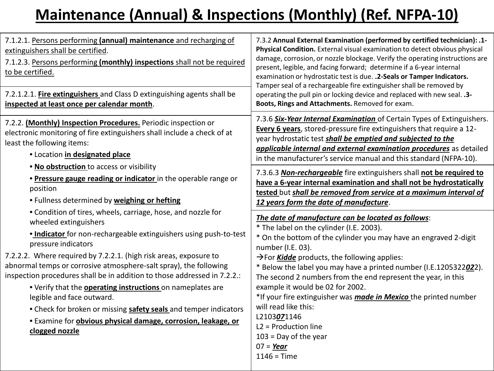# **Maintenance (Annual) & Inspections (Monthly) (Ref. NFPA-10)**

| 7.1.2.1. Persons performing (annual) maintenance and recharging of<br>extinguishers shall be certified.<br>7.1.2.3. Persons performing (monthly) inspections shall not be required<br>to be certified.<br>7.2.1.2.1. Fire extinguishers and Class D extinguishing agents shall be<br>inspected at least once per calendar month.                                                                                                                                                                                                                                                                                                                                                                                                                                                                                                                                                                                                                                                                                                                        | 7.3.2 Annual External Examination (performed by certified technician): .1-<br>Physical Condition. External visual examination to detect obvious physical<br>damage, corrosion, or nozzle blockage. Verify the operating instructions are<br>present, legible, and facing forward; determine if a 6-year internal<br>examination or hydrostatic test is due. . 2-Seals or Tamper Indicators.<br>Tamper seal of a rechargeable fire extinguisher shall be removed by<br>operating the pull pin or locking device and replaced with new seal. . 3-<br>Boots, Rings and Attachments. Removed for exam.                                                                                                                                                                                                                                                                                                                                                                                                                                                                                                                                                                                                                                                           |
|---------------------------------------------------------------------------------------------------------------------------------------------------------------------------------------------------------------------------------------------------------------------------------------------------------------------------------------------------------------------------------------------------------------------------------------------------------------------------------------------------------------------------------------------------------------------------------------------------------------------------------------------------------------------------------------------------------------------------------------------------------------------------------------------------------------------------------------------------------------------------------------------------------------------------------------------------------------------------------------------------------------------------------------------------------|--------------------------------------------------------------------------------------------------------------------------------------------------------------------------------------------------------------------------------------------------------------------------------------------------------------------------------------------------------------------------------------------------------------------------------------------------------------------------------------------------------------------------------------------------------------------------------------------------------------------------------------------------------------------------------------------------------------------------------------------------------------------------------------------------------------------------------------------------------------------------------------------------------------------------------------------------------------------------------------------------------------------------------------------------------------------------------------------------------------------------------------------------------------------------------------------------------------------------------------------------------------|
| 7.2.2. (Monthly) Inspection Procedures. Periodic inspection or<br>electronic monitoring of fire extinguishers shall include a check of at<br>least the following items:<br>· Location in designated place<br>. No obstruction to access or visibility<br>. Pressure gauge reading or indicator in the operable range or<br>position<br>. Fullness determined by weighing or hefting<br>• Condition of tires, wheels, carriage, hose, and nozzle for<br>wheeled extinguishers<br>. Indicator for non-rechargeable extinguishers using push-to-test<br>pressure indicators<br>7.2.2.2. Where required by 7.2.2.1. (high risk areas, exposure to<br>abnormal temps or corrosive atmosphere-salt spray), the following<br>inspection procedures shall be in addition to those addressed in 7.2.2.:<br>. Verify that the <b>operating instructions</b> on nameplates are<br>legible and face outward.<br>• Check for broken or missing safety seals and temper indicators<br>· Examine for obvious physical damage, corrosion, leakage, or<br>clogged nozzle | 7.3.6 Six-Year Internal Examination of Certain Types of Extinguishers.<br>Every 6 years, stored-pressure fire extinguishers that require a 12-<br>year hydrostatic test shall be emptied and subjected to the<br>applicable internal and external examination procedures as detailed<br>in the manufacturer's service manual and this standard (NFPA-10).<br>7.3.6.3 Non-rechargeable fire extinguishers shall not be required to<br>have a 6-year internal examination and shall not be hydrostatically<br>tested but shall be removed from service at a maximum interval of<br>12 years form the date of manufacture.<br>The date of manufacture can be located as follows:<br>* The label on the cylinder (I.E. 2003).<br>* On the bottom of the cylinder you may have an engraved 2-digit<br>number (I.E. 03).<br>$\rightarrow$ For <i>Kidde</i> products, the following applies:<br>* Below the label you may have a printed number (I.E.1205322022).<br>The second 2 numbers from the end represent the year, in this<br>example it would be 02 for 2002.<br>*If your fire extinguisher was <i>made in Mexico</i> the printed number<br>will read like this:<br>L2103071146<br>$L2 =$ Production line<br>$103$ = Day of the year<br>$07 = \text{Year}$ |
|                                                                                                                                                                                                                                                                                                                                                                                                                                                                                                                                                                                                                                                                                                                                                                                                                                                                                                                                                                                                                                                         | $1146 = Time$                                                                                                                                                                                                                                                                                                                                                                                                                                                                                                                                                                                                                                                                                                                                                                                                                                                                                                                                                                                                                                                                                                                                                                                                                                                |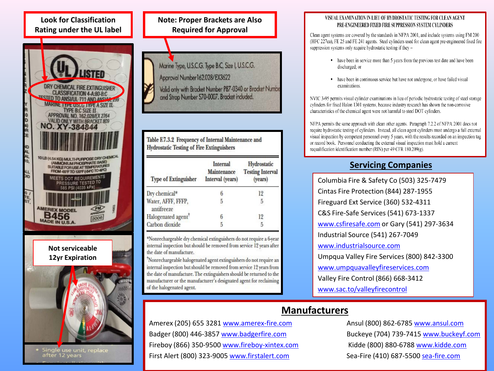## **Look for Classification Rating under the UL label**



Single use unit, replace<br>after 12 years



| <b>Type of Extinguisher</b>      | <b>Internal</b><br>Maintenance<br>Interval (years) | Hydrostatic<br><b>Testing Interval</b><br>(years) |
|----------------------------------|----------------------------------------------------|---------------------------------------------------|
| Dry chemical*                    |                                                    | 12                                                |
| Water, AFFF, FFFP,<br>antifreeze | 5                                                  | 5                                                 |
| Halogenated agent <sup>†</sup>   |                                                    | 12                                                |
| Carbon dioxide                   |                                                    | 5                                                 |

\*Nonrechargeable dry chemical extinguishers do not require a 6-year internal inspection but should be removed from service 12 years after the date of manufacture.

Nonrechargeable halogenated agent extinguishers do not require an internal inspection but should be removed from service 12 years from the date of manufacture. The extinguishers should be returned to the manufacturer or the manufacturer's designated agent for reclaiming of the halogenated agent.

#### VISUAL EXAMINATION IN LIEU OF HYDROSTATIC TESTING FOR CLEAN AGENT PRE-ENGINEERED FIXED FIRE SUPPRESSION SYSTEM CYLINDERS

Clean agent systems are covered by the standards in NFPA 2001, and include systems using FM 200 (HFC 227ea), FE 25 and FE 241 agents. Steel cylinders used for clean agent pre-engineered fixed fire suppression systems only require hydrostatic testing if they -

- have been in service more than 5 years from the previous test date and have been discharged: or
- have been in continuous service but have not undergone, or have failed visual examinations.

NVIC 3-95 permits visual cylinder examinations in lieu of periodic hydrostatic testing of steel storage cylinders for fixed Halon 1301 systems, because industry research has shown the non-corrosive characteristics of the chemical agent were not harmful to steel DOT cylinders.

NFPA permits the same approach with clean other agents. Paragraph 7.2.2 of NFPA 2001 does not require hydrostatic testing of cylinders. Instead, all clean agent cylinders must undergo a full external visual inspection by competent personnel every 5 years, with the results recorded on an inspection tag or record book. Personnel conducting the external visual inspection must hold a current requalification identification number (RIN) per 49 CFR 180.209(g).

# **Servicing Companies**

Columbia Fire & Safety Co (503) 325-7479 Cintas Fire Protection (844) 287-1955 Fireguard Ext Service (360) 532-4311 C&S Fire-Safe Services (541) 673-1337 [www.csfiresafe.com](http://www.csfiresafe.com/) or Gary (541) 297-3634 Industrial Source (541) 267-7049 [www.industrialsource.com](http://www.industrialsource.com/) Umpqua Valley Fire Services (800) 842-3300 [www.umpquavalleyfireservices.com](http://www.umpquavalleyfireservices.com/) Valley Fire Control (866) 668-3412 [www.sac.to/valleyfirecontrol](http://www.sac.to/valleyfirecontrol)

# **Manufacturers**

Amerex (205) 655 3281 [www.amerex-fire.com](http://www.amerex-fire.com/) Ansul (800) 862-6785 [www.ansul.com](http://www.ansul.com/) Badger (800) 446-3857 [www.badgerfire.com](http://www.badgerfire.com/) Buckeye (704) 739-7415 [www.buckeyf.com](http://www.buckeyf.com/) Fireboy (866) 350-9500 [www.fireboy-xintex.com](http://www.fireboy-xintex.com/) Kidde (800) 880-6788 [www.kidde.com](http://www.kidde.com/) First Alert (800) 323-9005 [www.firstalert.com](http://www.firstalert.com/) Sea-Fire (410) 687-5500 [sea-fire.com](http://www.sea-fire.com/)